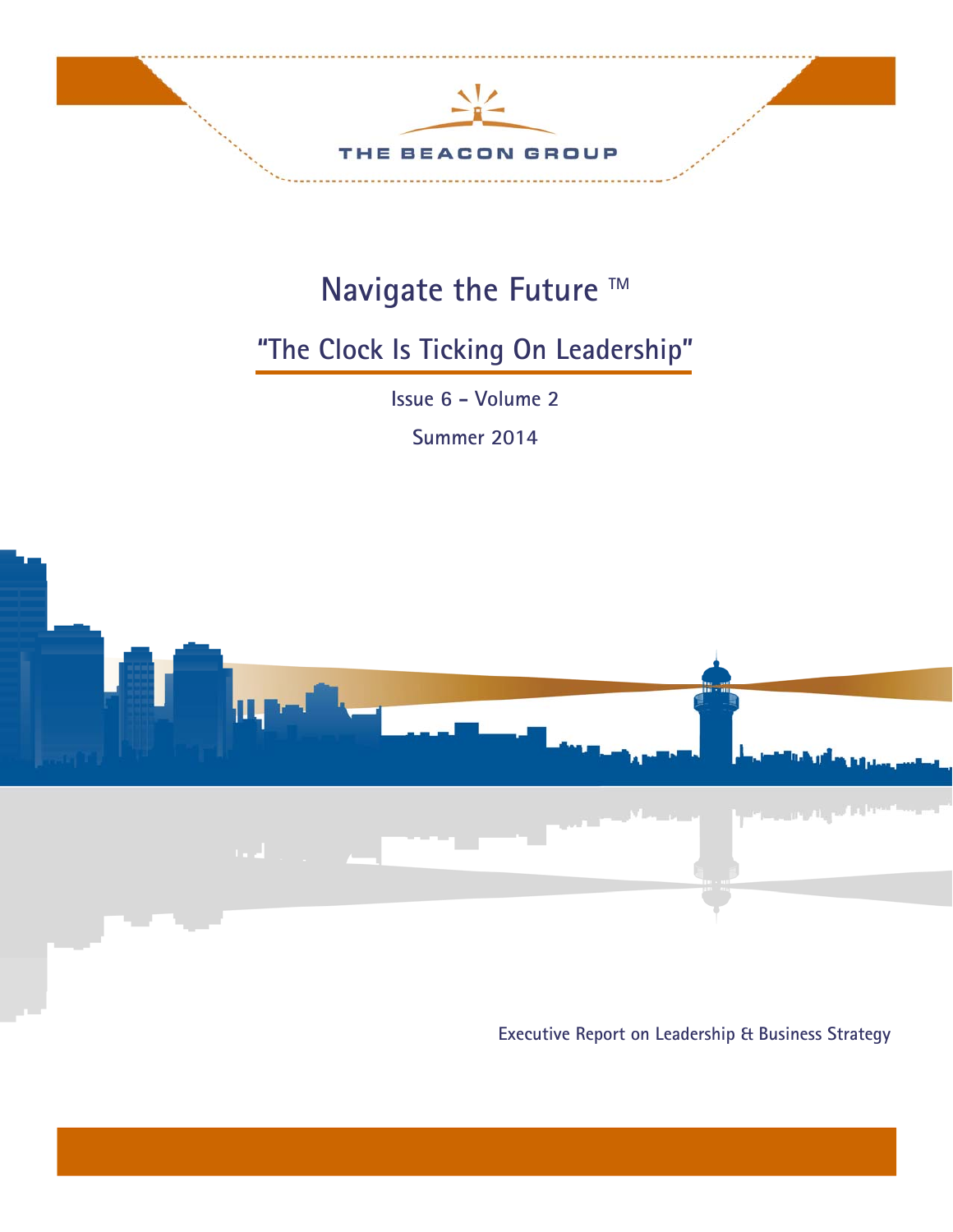

# Navigate the Future ™

# **"The Clock Is Ticking On Leadership"**

**Issue 6 - Volume 2** 

**Summer 2014** 



**Executive Report on Leadership & Business Strategy**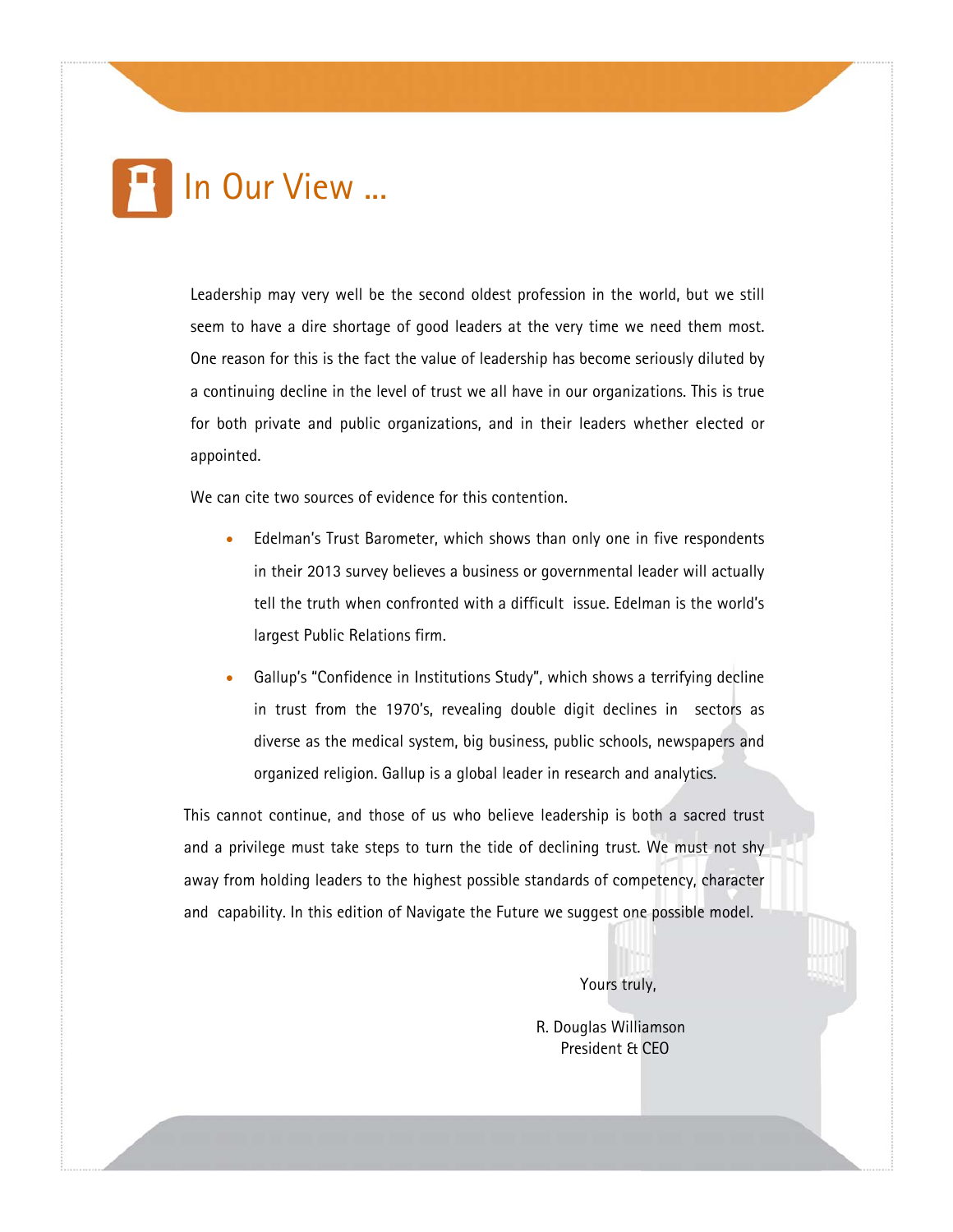

Leadership may very well be the second oldest profession in the world, but we still seem to have a dire shortage of good leaders at the very time we need them most. One reason for this is the fact the value of leadership has become seriously diluted by a continuing decline in the level of trust we all have in our organizations. This is true for both private and public organizations, and in their leaders whether elected or appointed.

We can cite two sources of evidence for this contention.

- Edelman's Trust Barometer, which shows than only one in five respondents in their 2013 survey believes a business or governmental leader will actually tell the truth when confronted with a difficult issue. Edelman is the world's largest Public Relations firm.
- Gallup's "Confidence in Institutions Study", which shows a terrifying decline in trust from the 1970's, revealing double digit declines in sectors as diverse as the medical system, big business, public schools, newspapers and organized religion. Gallup is a global leader in research and analytics.

This cannot continue, and those of us who believe leadership is both a sacred trust and a privilege must take steps to turn the tide of declining trust. We must not shy away from holding leaders to the highest possible standards of competency, character and capability. In this edition of Navigate the Future we suggest one possible model.

Yours truly,

 R. Douglas Williamson President & CEO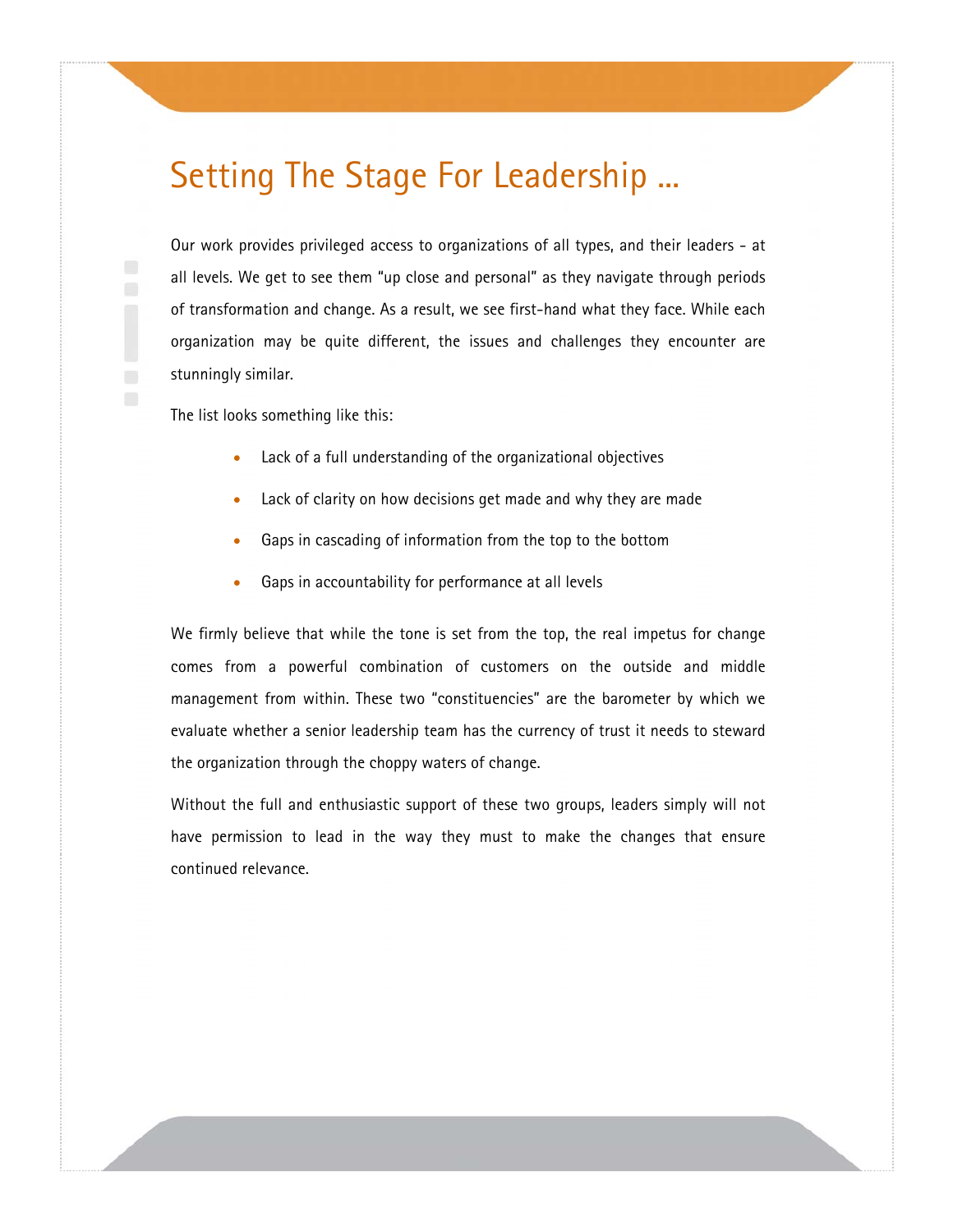### Setting The Stage For Leadership ...

Our work provides privileged access to organizations of all types, and their leaders - at all levels. We get to see them "up close and personal" as they navigate through periods of transformation and change. As a result, we see first-hand what they face. While each organization may be quite different, the issues and challenges they encounter are stunningly similar.

The list looks something like this:

- Lack of a full understanding of the organizational objectives
- Lack of clarity on how decisions get made and why they are made
- Gaps in cascading of information from the top to the bottom
- Gaps in accountability for performance at all levels

We firmly believe that while the tone is set from the top, the real impetus for change comes from a powerful combination of customers on the outside and middle management from within. These two "constituencies" are the barometer by which we evaluate whether a senior leadership team has the currency of trust it needs to steward the organization through the choppy waters of change.

Without the full and enthusiastic support of these two groups, leaders simply will not have permission to lead in the way they must to make the changes that ensure continued relevance.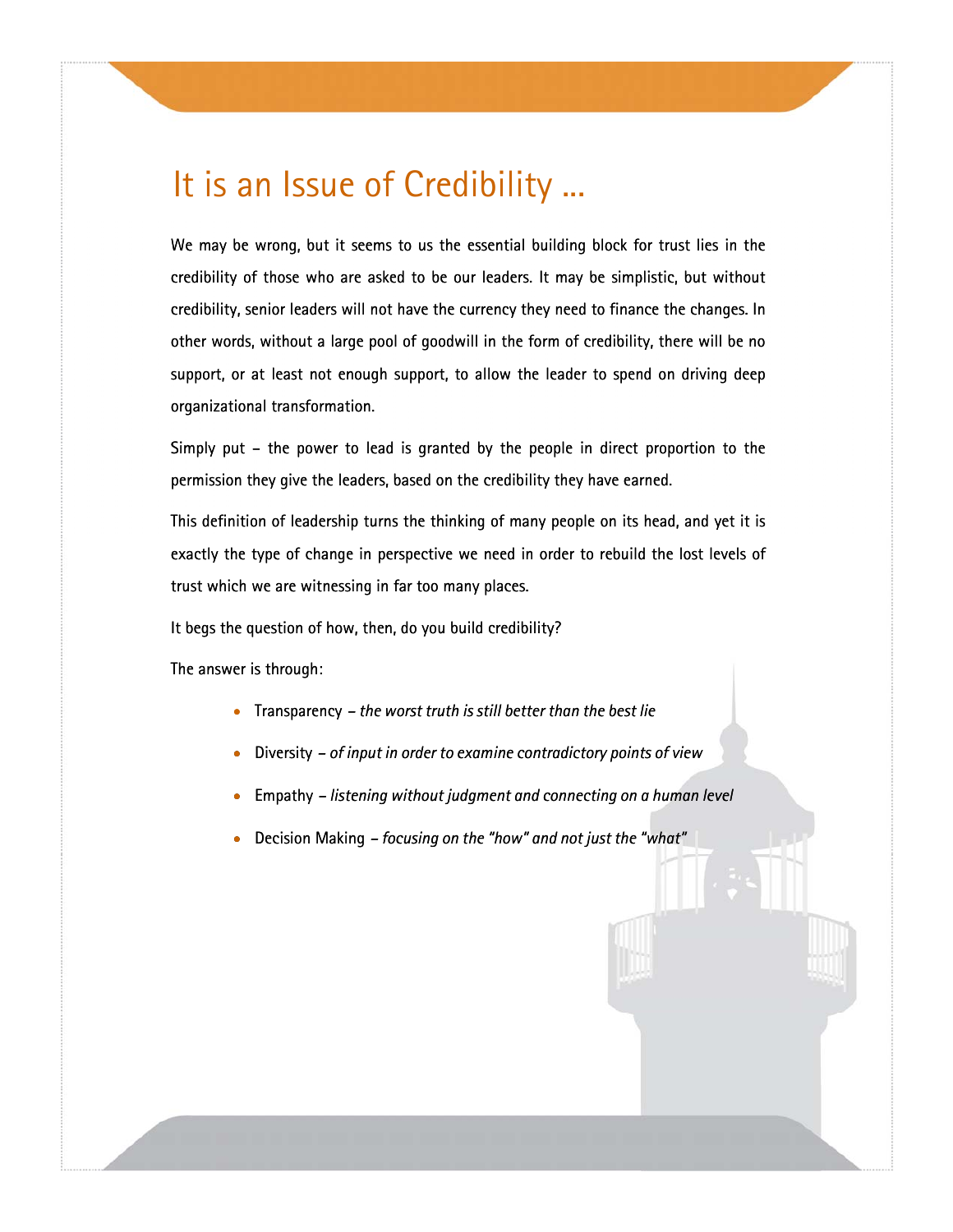### It is an Issue of Credibility ...

We may be wrong, but it seems to us the essential building block for trust lies in the credibility of those who are asked to be our leaders. It may be simplistic, but without credibility, senior leaders will not have the currency they need to finance the changes. In other words, without a large pool of goodwill in the form of credibility, there will be no support, or at least not enough support, to allow the leader to spend on driving deep organizational transformation.

Simply put – the power to lead is granted by the people in direct proportion to the permission they give the leaders, based on the credibility they have earned.

This definition of leadership turns the thinking of many people on its head, and yet it is exactly the type of change in perspective we need in order to rebuild the lost levels of trust which we are witnessing in far too many places.

It begs the question of how, then, do you build credibility?

The answer is through:

- Transparency  *the worst truth is still better than the best lie*
- Diversity  *of input in order to examine contradictory points of view*
- **•** Empathy listening without judgment and connecting on a human level
- Decision Making  *focusing on the "how" and not just the "what" "what"*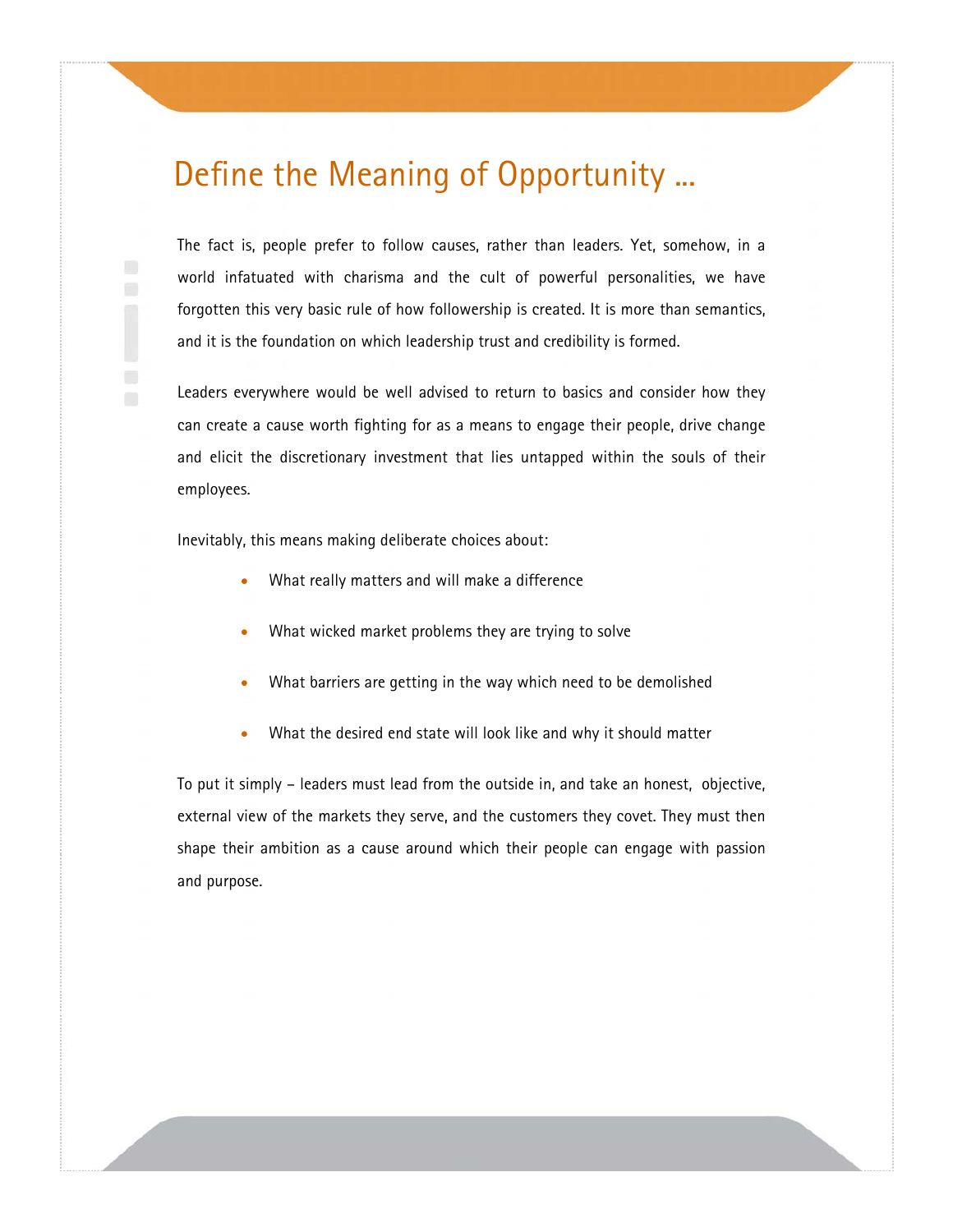#### Define the Meaning of Opportunity ...

The fact is, people prefer to follow causes, rather than leaders. Yet, somehow, in a world infatuated with charisma and the cult of powerful personalities, we have forgotten this very basic rule of how followership is created. It is more than semantics, and it is the foundation on which leadership trust and credibility is formed.

Leaders everywhere would be well advised to return to basics and consider how they can create a cause worth fighting for as a means to engage their people, drive change and elicit the discretionary investment that lies untapped within the souls of their employees.

Inevitably, this means making deliberate choices about:

- What really matters and will make a difference
- What wicked market problems they are trying to solve
- What barriers are getting in the way which need to be demolished
- What the desired end state will look like and why it should matter

To put it simply – leaders must lead from the outside in, and take an honest, objective, external view of the markets they serve, and the customers they covet. They must then shape their ambition as a cause around which their people can engage with passion and purpose.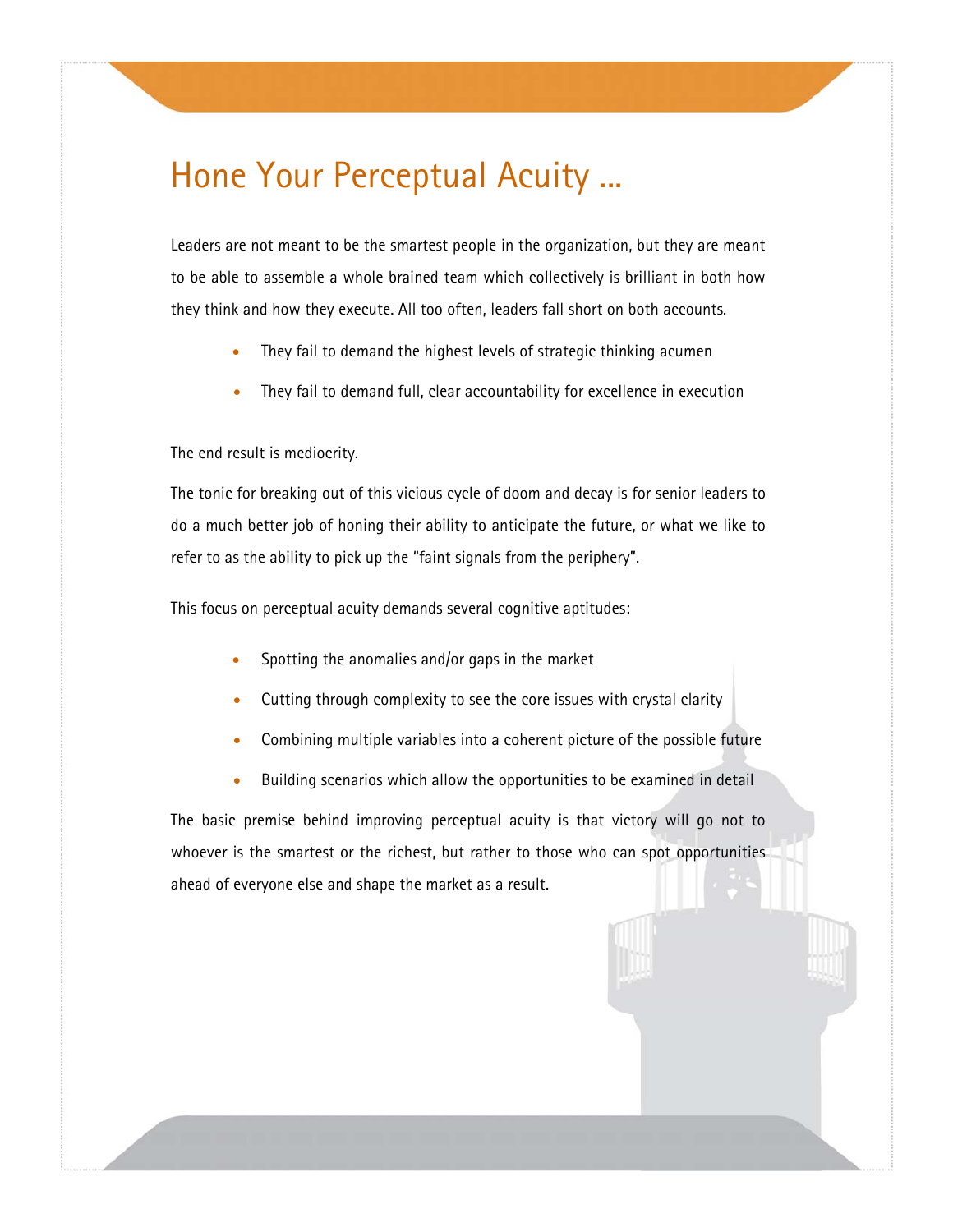### Hone Your Perceptual Acuity ...

Leaders are not meant to be the smartest people in the organization, but they are meant to be able to assemble a whole brained team which collectively is brilliant in both how they think and how they execute. All too often, leaders fall short on both accounts.

- They fail to demand the highest levels of strategic thinking acumen
- They fail to demand full, clear accountability for excellence in execution

#### The end result is mediocrity.

The tonic for breaking out of this vicious cycle of doom and decay is for senior leaders to do a much better job of honing their ability to anticipate the future, or what we like to refer to as the ability to pick up the "faint signals from the periphery".

This focus on perceptual acuity demands several cognitive aptitudes:

- Spotting the anomalies and/or gaps in the market
- Cutting through complexity to see the core issues with crystal clarity
- Combining multiple variables into a coherent picture of the possible future
- Building scenarios which allow the opportunities to be examined in detail

The basic premise behind improving perceptual acuity is that victory will go not to whoever is the smartest or the richest, but rather to those who can spot opportunities ahead of everyone else and shape the market as a result.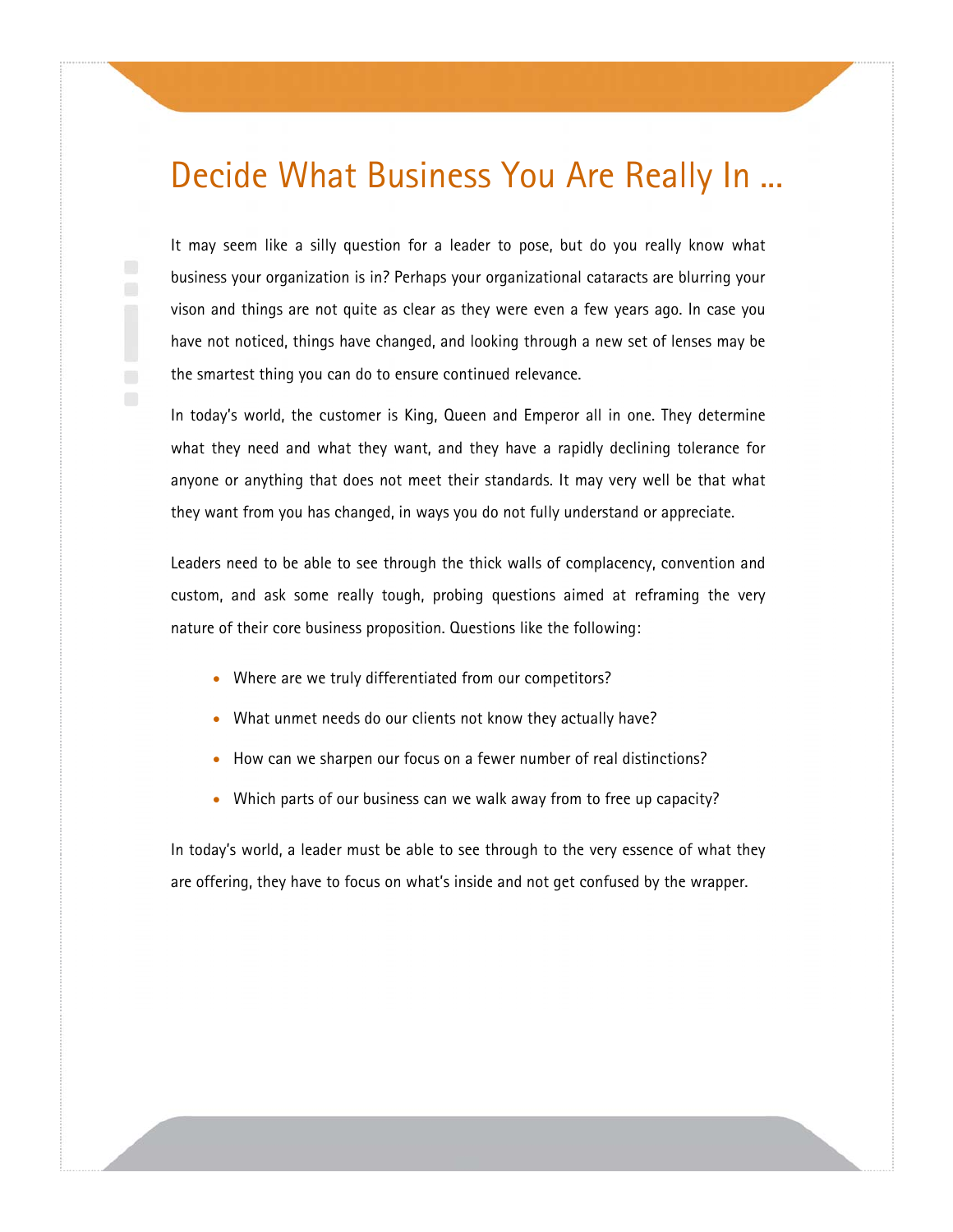### Decide What Business You Are Really In ...

It may seem like a silly question for a leader to pose, but do you really know what business your organization is in? Perhaps your organizational cataracts are blurring your vison and things are not quite as clear as they were even a few years ago. In case you have not noticed, things have changed, and looking through a new set of lenses may be the smartest thing you can do to ensure continued relevance.

In today's world, the customer is King, Queen and Emperor all in one. They determine what they need and what they want, and they have a rapidly declining tolerance for anyone or anything that does not meet their standards. It may very well be that what they want from you has changed, in ways you do not fully understand or appreciate.

Leaders need to be able to see through the thick walls of complacency, convention and custom, and ask some really tough, probing questions aimed at reframing the very nature of their core business proposition. Questions like the following:

- Where are we truly differentiated from our competitors?
- What unmet needs do our clients not know they actually have?
- How can we sharpen our focus on a fewer number of real distinctions?
- Which parts of our business can we walk away from to free up capacity?

In today's world, a leader must be able to see through to the very essence of what they are offering, they have to focus on what's inside and not get confused by the wrapper.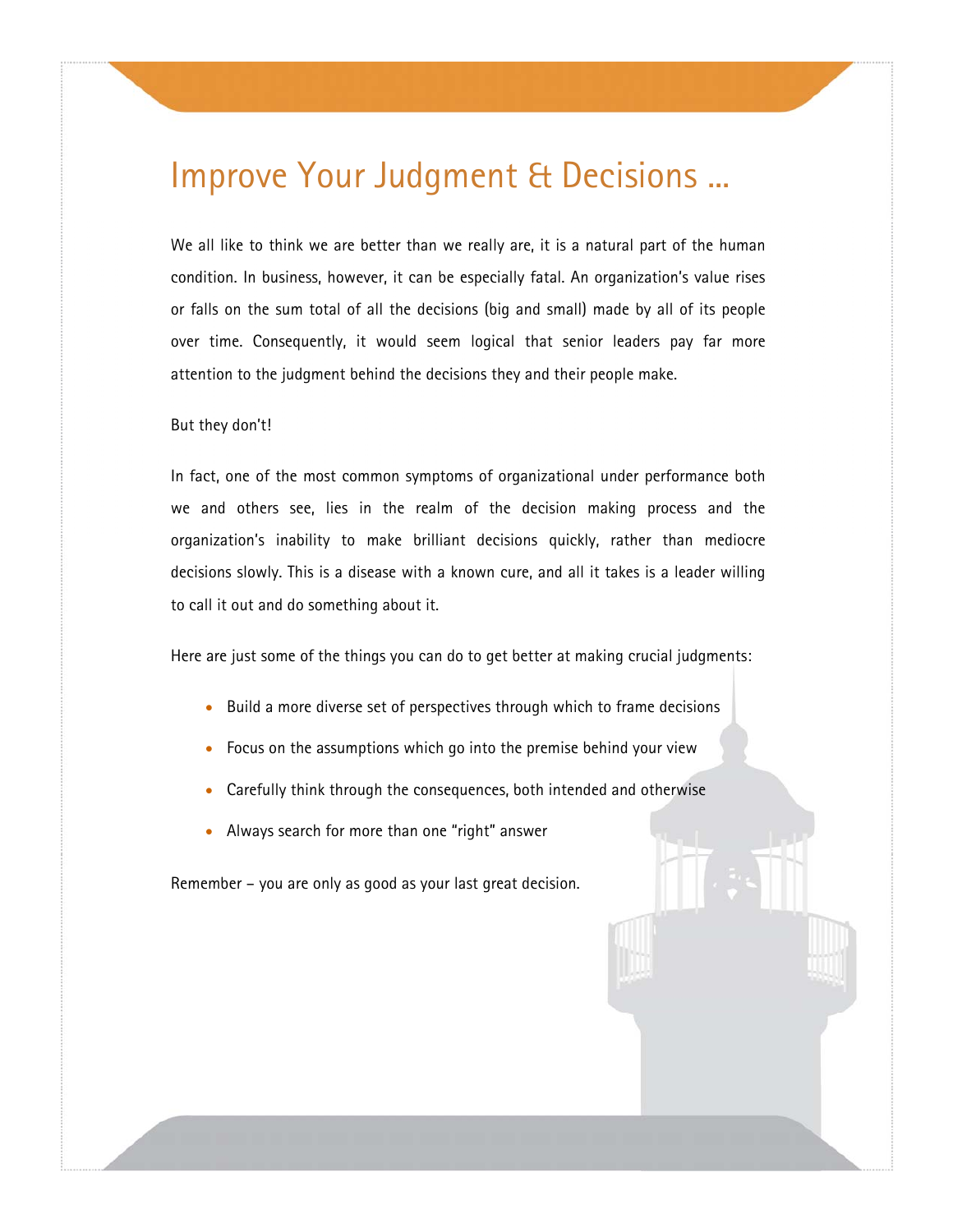### Improve Your Judgment & Decisions ...

We all like to think we are better than we really are, it is a natural part of the human condition. In business, however, it can be especially fatal. An organization's value rises or falls on the sum total of all the decisions (big and small) made by all of its people over time. Consequently, it would seem logical that senior leaders pay far more attention to the judgment behind the decisions they and their people make.

#### But they don't!

In fact, one of the most common symptoms of organizational under performance both we and others see, lies in the realm of the decision making process and the organization's inability to make brilliant decisions quickly, rather than mediocre decisions slowly. This is a disease with a known cure, and all it takes is a leader willing to call it out and do something about it.

Here are just some of the things you can do to get better at making crucial judgments:

- Build a more diverse set of perspectives through which to frame decisions
- Focus on the assumptions which go into the premise behind your view
- Carefully think through the consequences, both intended and otherwise
- Always search for more than one "right" answer

Remember – you are only as good as your last great decision.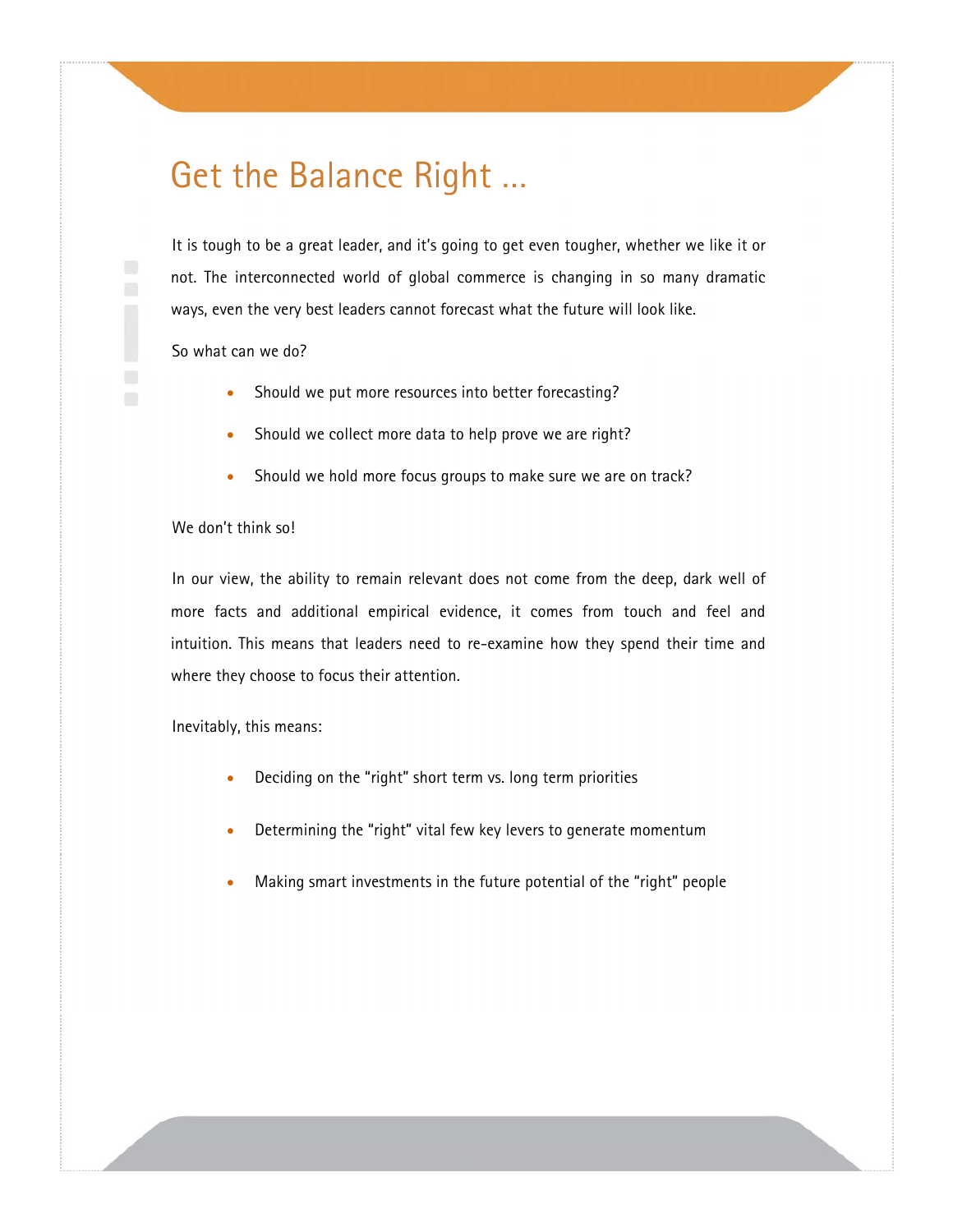### Get the Balance Right …

It is tough to be a great leader, and it's going to get even tougher, whether we like it or not. The interconnected world of global commerce is changing in so many dramatic ways, even the very best leaders cannot forecast what the future will look like.

So what can we do?

- Should we put more resources into better forecasting?
- Should we collect more data to help prove we are right?
- Should we hold more focus groups to make sure we are on track?

#### We don't think so!

In our view, the ability to remain relevant does not come from the deep, dark well of more facts and additional empirical evidence, it comes from touch and feel and intuition. This means that leaders need to re-examine how they spend their time and where they choose to focus their attention.

Inevitably, this means:

- Deciding on the "right" short term vs. long term priorities
- Determining the "right" vital few key levers to generate momentum
- Making smart investments in the future potential of the "right" people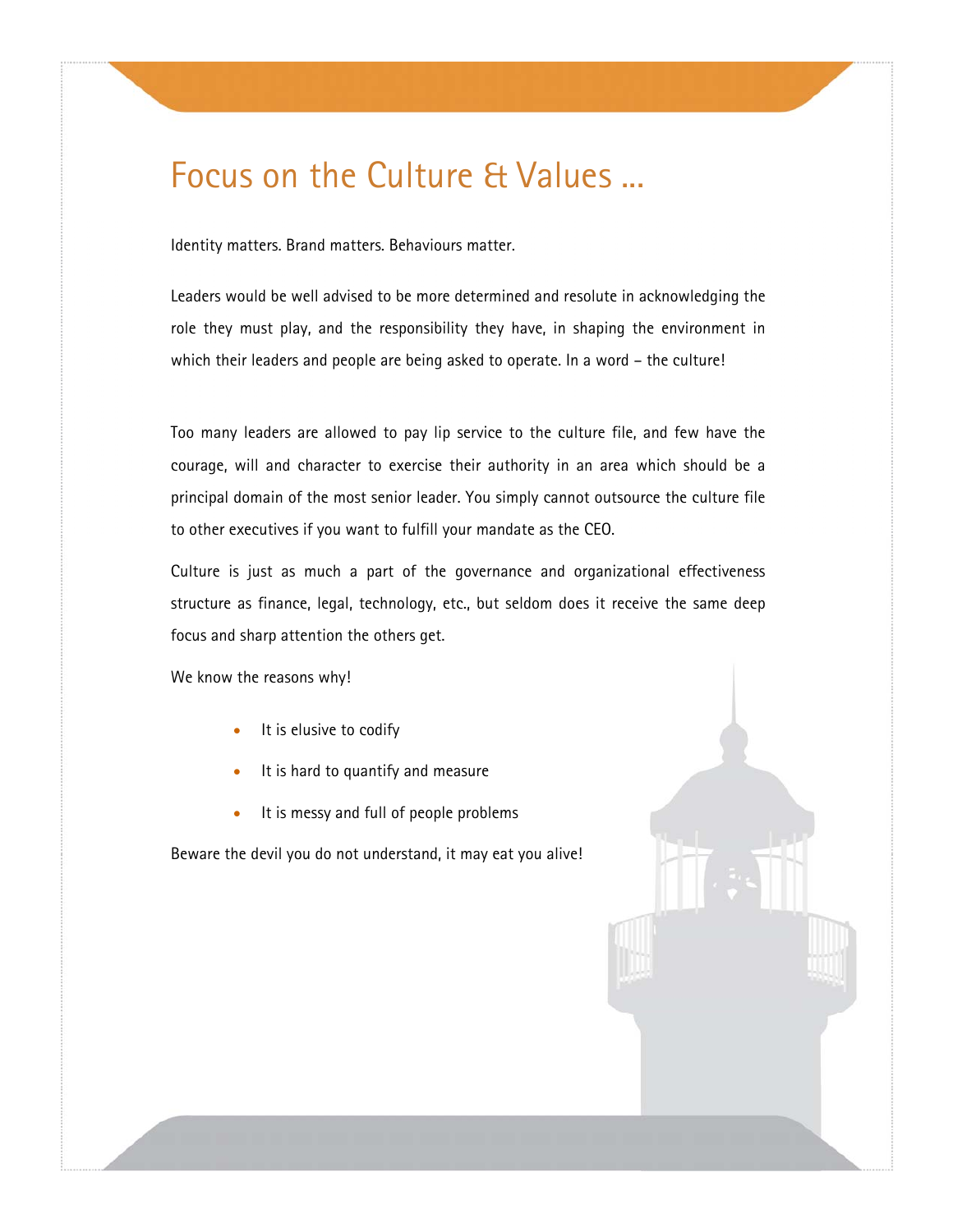# Focus on the Culture & Values ...

Identity matters. Brand matters. Behaviours matter.

Leaders would be well advised to be more determined and resolute in acknowledging the role they must play, and the responsibility they have, in shaping the environment in which their leaders and people are being asked to operate. In a word – the culture!

Too many leaders are allowed to pay lip service to the culture file, and few have the courage, will and character to exercise their authority in an area which should be a principal domain of the most senior leader. You simply cannot outsource the culture file to other executives if you want to fulfill your mandate as the CEO.

Culture is just as much a part of the governance and organizational effectiveness structure as finance, legal, technology, etc., but seldom does it receive the same deep focus and sharp attention the others get.

We know the reasons why!

- It is elusive to codify
- It is hard to quantify and measure
- It is messy and full of people problems

Beware the devil you do not understand, it may eat you alive!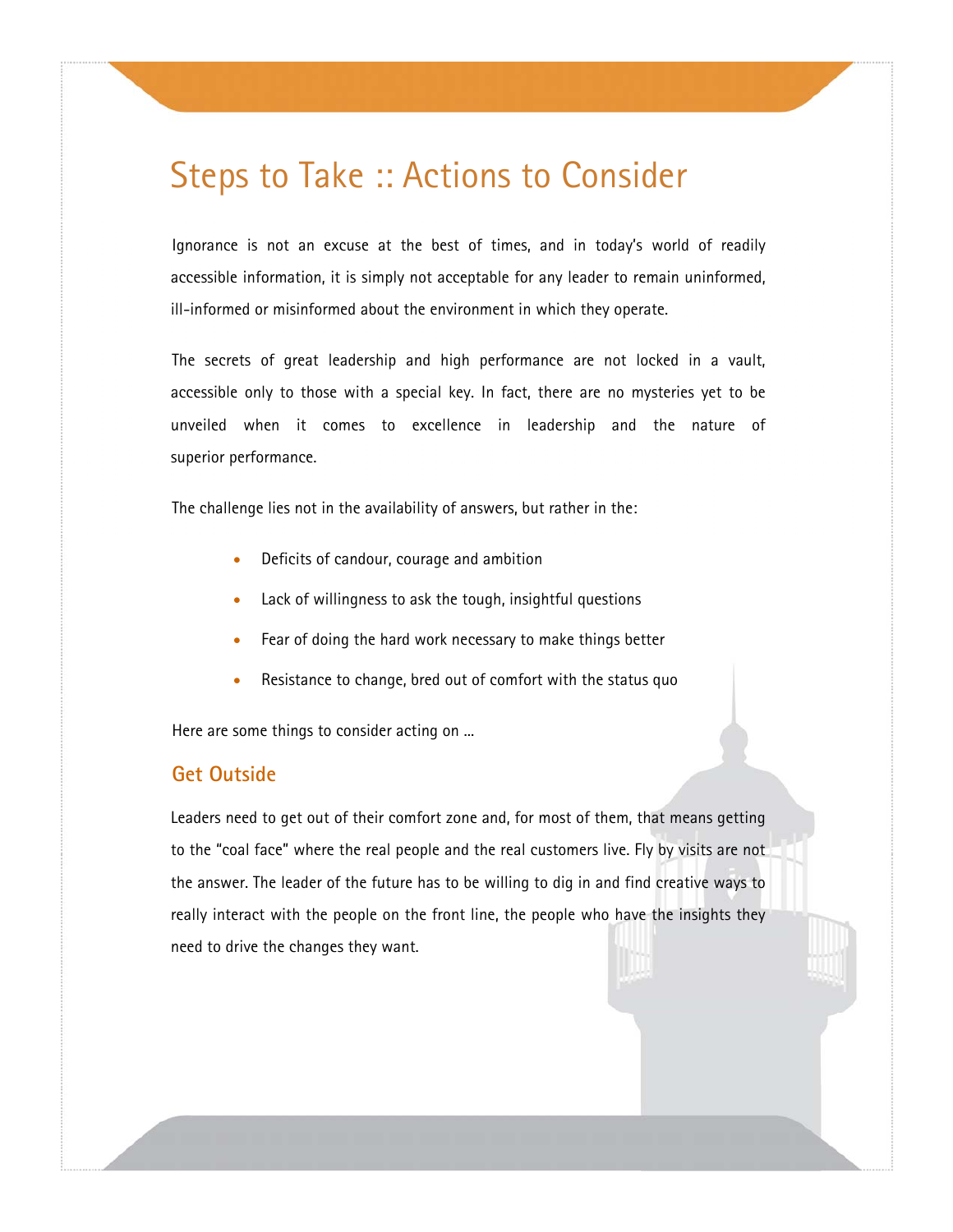### Steps to Take :: Actions to Consider

Ignorance is not an excuse at the best of times, and in today's world of readily accessible information, it is simply not acceptable for any leader to remain uninformed, ill-informed or misinformed about the environment in which they operate.

The secrets of great leadership and high performance are not locked in a vault, accessible only to those with a special key. In fact, there are no mysteries yet to be unveiled when it comes to excellence in leadership and the nature of superior performance.

The challenge lies not in the availability of answers, but rather in the:

- Deficits of candour, courage and ambition
- Lack of willingness to ask the tough, insightful questions
- Fear of doing the hard work necessary to make things better
- Resistance to change, bred out of comfort with the status quo

Here are some things to consider acting on ...

#### **Get Outside**

Leaders need to get out of their comfort zone and, for most of them, that means getting to the "coal face" where the real people and the real customers live. Fly by visits are not the answer. The leader of the future has to be willing to dig in and find creative ways to really interact with the people on the front line, the people who have the insights they need to drive the changes they want.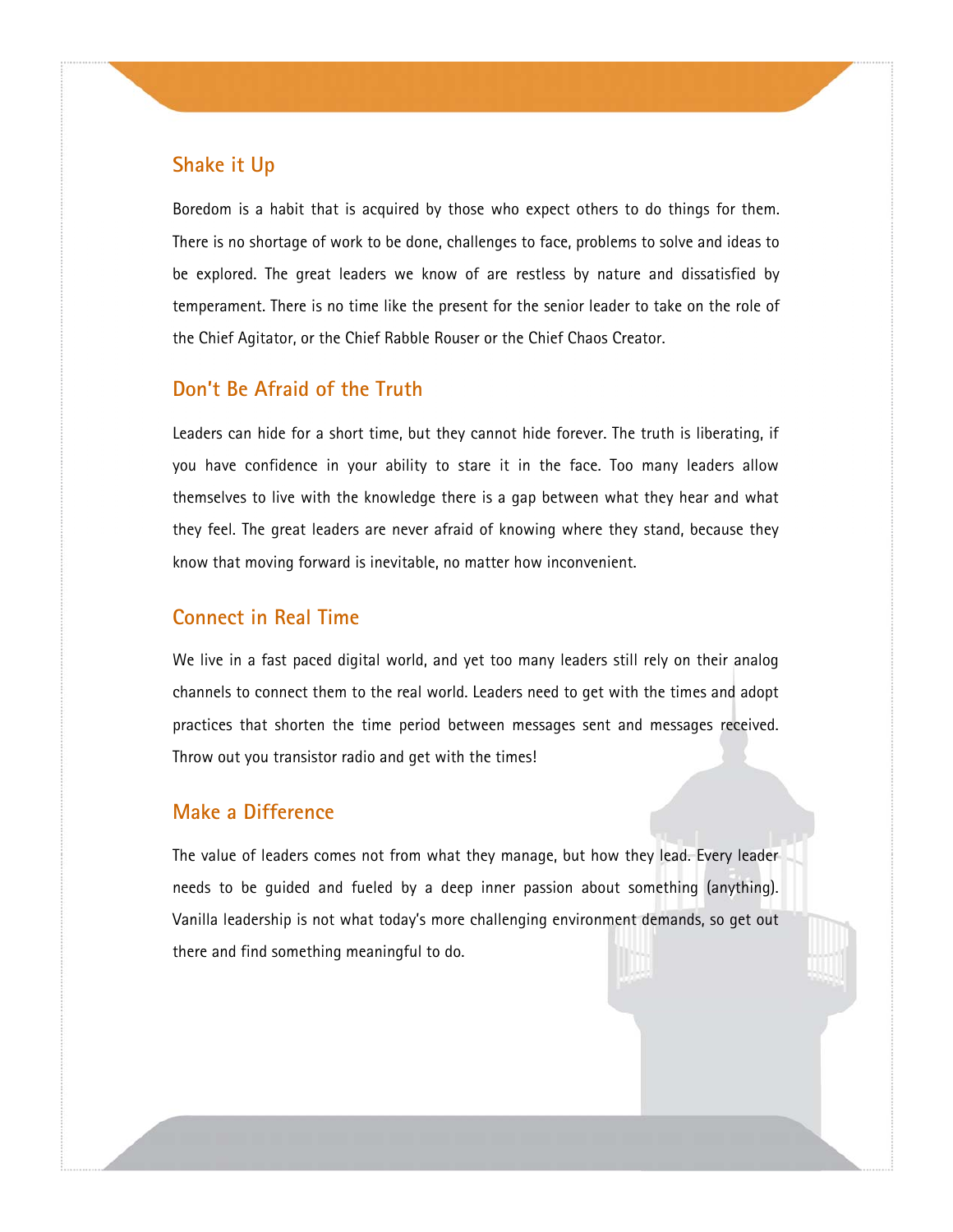#### **Shake it Up**

Boredom is a habit that is acquired by those who expect others to do things for them. There is no shortage of work to be done, challenges to face, problems to solve and ideas to be explored. The great leaders we know of are restless by nature and dissatisfied by temperament. There is no time like the present for the senior leader to take on the role of the Chief Agitator, or the Chief Rabble Rouser or the Chief Chaos Creator.

#### **Don't Be Afraid of the Truth**

Leaders can hide for a short time, but they cannot hide forever. The truth is liberating, if you have confidence in your ability to stare it in the face. Too many leaders allow themselves to live with the knowledge there is a gap between what they hear and what they feel. The great leaders are never afraid of knowing where they stand, because they know that moving forward is inevitable, no matter how inconvenient.

#### **Connect in Real Time**

We live in a fast paced digital world, and yet too many leaders still rely on their analog channels to connect them to the real world. Leaders need to get with the times and adopt practices that shorten the time period between messages sent and messages received. Throw out you transistor radio and get with the times!

#### **Make a Difference**

The value of leaders comes not from what they manage, but how they lead. Every leader needs to be guided and fueled by a deep inner passion about something (anything). Vanilla leadership is not what today's more challenging environment demands, so get out there and find something meaningful to do.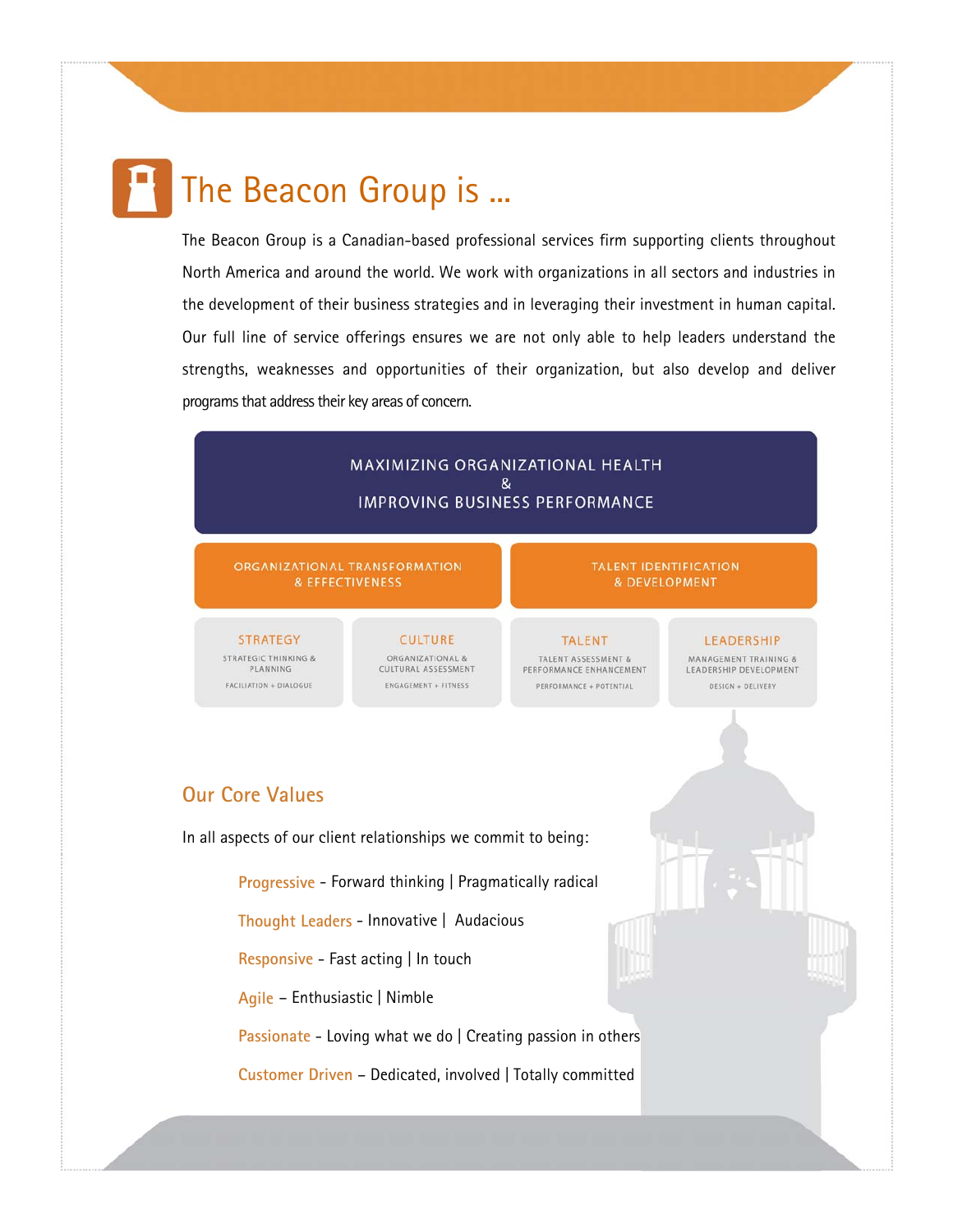# The Beacon Group is ...

The Beacon Group is a Canadian-based professional services firm supporting clients throughout North America and around the world. We work with organizations in all sectors and industries in the development of their business strategies and in leveraging their investment in human capital. Our full line of service offerings ensures we are not only able to help leaders understand the strengths, weaknesses and opportunities of their organization, but also develop and deliver programs that address their key areas of concern.

#### MAXIMIZING ORGANIZATIONAL HEALTH  $\mathbf{g}$ **IMPROVING BUSINESS PERFORMANCE**

ORGANIZATIONAL TRANSFORMATION & EFFECTIVENESS

**STRATEGY** STRATEGIC THINKING & PLANNING FACILIATION + DIALOGUE

**CULTURE** ORGANIZATIONAL & CULTURAL ASSESSMENT ENGAGEMENT + FITNESS

**TALENT** TALENT ASSESSMENT & PERFORMANCE ENHANCEMENT PERFORMANCE + POTENTIAL

LEADERSHIP MANAGEMENT TRAINING & LEADERSHIP DEVELOPMENT DESIGN + DELIVERY

& DEVELOPMENT

#### **Our Core Values**

In all aspects of our client relationships we commit to being:

**Progressive** - Forward thinking | Pragmatically radical

**Thought Leaders** - Innovative | Audacious

**Responsive** - Fast acting | In touch

**Agile** – Enthusiastic | Nimble

**Passionate** - Loving what we do | Creating passion in others

**Customer Driven** – Dedicated, involved | Totally committed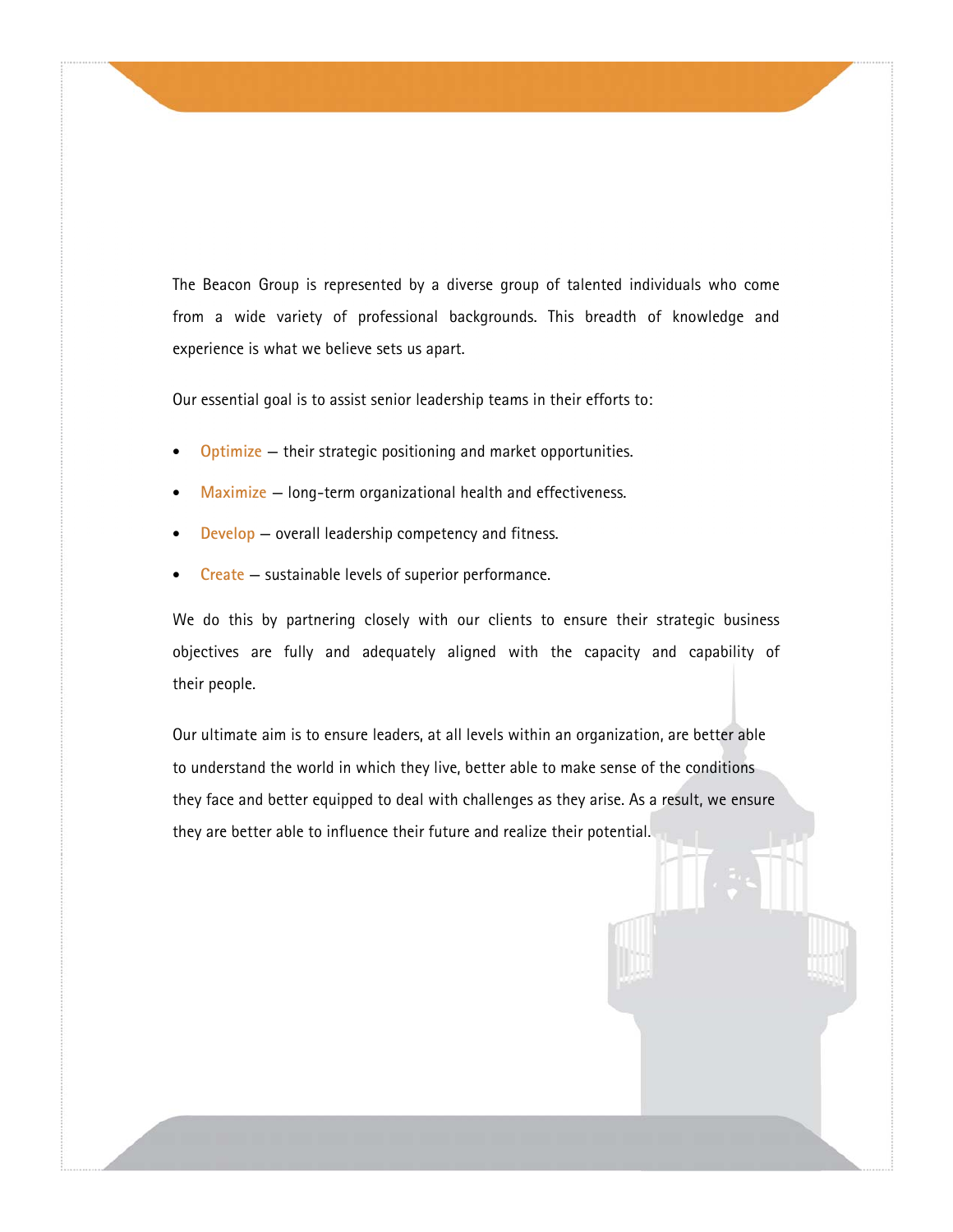The Beacon Group is represented by a diverse group of talented individuals who come from a wide variety of professional backgrounds. This breadth of knowledge and experience is what we believe sets us apart.

Our essential goal is to assist senior leadership teams in their efforts to:

- **Optimize** their strategic positioning and market opportunities.
- **Maximize** long-term organizational health and effectiveness.
- **Develop** overall leadership competency and fitness.
- **Create** sustainable levels of superior performance.

We do this by partnering closely with our clients to ensure their strategic business objectives are fully and adequately aligned with the capacity and capability of their people.

Our ultimate aim is to ensure leaders, at all levels within an organization, are better able to understand the world in which they live, better able to make sense of the conditions they face and better equipped to deal with challenges as they arise. As a result, we ensure they are better able to influence their future and realize their potential.